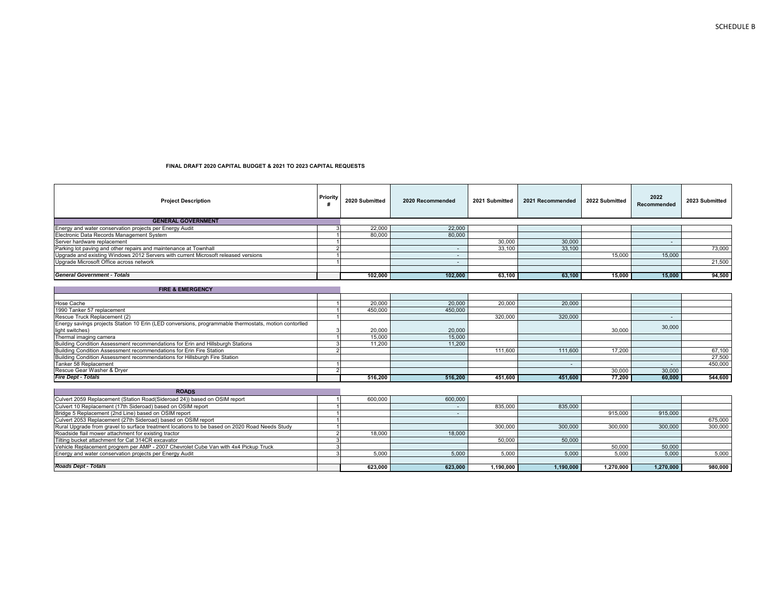| <b>Project Description</b>                                                                            | Priority | 2020 Submitted | 2020 Recommended         | 2021 Submitted | 2021 Recommended | 2022 Submitted | 2022<br>Recommended | 2023 Submitted |
|-------------------------------------------------------------------------------------------------------|----------|----------------|--------------------------|----------------|------------------|----------------|---------------------|----------------|
| <b>GENERAL GOVERNMENT</b>                                                                             |          |                |                          |                |                  |                |                     |                |
| Energy and water conservation projects per Energy Audit                                               |          | 22,000         | 22,000                   |                |                  |                |                     |                |
| Electronic Data Records Management System                                                             |          | 80,000         | 80,000                   |                |                  |                |                     |                |
| Server hardware replacement                                                                           |          |                |                          | 30,000         | 30,000           |                | $\sim$              |                |
| Parking lot paying and other repairs and maintenance at Townhall                                      |          |                | $\overline{\phantom{a}}$ | 33,100         | 33,100           |                |                     | 73,000         |
| Upgrade and existing Windows 2012 Servers with current Microsoft released versions                    |          |                | $\sim$                   |                |                  | 15,000         | 15,000              |                |
| Upgrade Microsoft Office across network                                                               |          |                | $\sim$                   |                |                  |                |                     | 21,500         |
|                                                                                                       |          |                |                          |                |                  |                |                     |                |
| <b>General Government - Totals</b>                                                                    |          | 102.000        | 102.000                  | 63,100         | 63,100           | 15.000         | 15.000              | 94,500         |
| <b>FIRE &amp; EMERGENCY</b>                                                                           |          |                |                          |                |                  |                |                     |                |
|                                                                                                       |          |                |                          |                |                  |                |                     |                |
| Hose Cache                                                                                            |          | 20,000         | 20,000                   | 20,000         | 20,000           |                |                     |                |
| 1990 Tanker 57 replacement                                                                            |          | 450,000        | 450,000                  |                |                  |                |                     |                |
| Rescue Truck Replacement (2)                                                                          |          |                |                          | 320,000        | 320,000          |                | $\sim$              |                |
| Energy savings projects Station 10 Erin (LED conversions, programmable thermostats, motion contorlled |          |                |                          |                |                  |                | 30,000              |                |
| light switches)<br>Thermal imaging camera                                                             |          | 20,000         | 20,000                   |                |                  | 30,000         |                     |                |
|                                                                                                       |          | 15,000         | 15,000                   |                |                  |                |                     |                |
| Building Condition Assessment recommendations for Erin and Hillsburgh Stations                        |          | 11.200         | 11.200                   |                |                  |                |                     |                |
| Building Condition Assessment recommendations for Erin Fire Station                                   |          |                |                          | 111,600        | 111,600          | 17,200         |                     | 67,100         |
| Building Condition Assessment recommendations for Hillsburgh Fire Station<br>Tanker 58 Replacement    |          |                |                          |                |                  |                |                     | 27,500         |
| Rescue Gear Washer & Dryer                                                                            |          |                |                          |                |                  |                |                     | 450.000        |
|                                                                                                       |          |                |                          |                |                  | 30,000         | 30,000              |                |
| <b>Fire Dept - Totals</b>                                                                             |          | 516.200        | 516.200                  | 451.600        | 451.600          | 77,200         | 60.000              | 544,600        |
| <b>ROADS</b>                                                                                          |          |                |                          |                |                  |                |                     |                |
| Culvert 2059 Replacement (Station Road(Sideroad 24)) based on OSIM report                             |          | 600,000        | 600,000                  |                |                  |                |                     |                |
| Culvert 10 Replacement (17th Sideroad) based on OSIM report                                           |          |                |                          | 835,000        | 835,000          |                |                     |                |
| Bridge 5 Replacement (2nd Line) based on OSIM report                                                  |          |                | $\sim$                   |                |                  | 915,000        | 915,000             |                |
| Culvert 2053 Replacement (27th Sideroad) based on OSIM report                                         |          |                |                          |                |                  |                |                     | 675,000        |
| Rural Upgrade from gravel to surface treatment locations to be based on 2020 Road Needs Study         |          |                |                          | 300,000        | 300,000          | 300,000        | 300,000             | 300,000        |
| Roadside flail mower attachment for existing tractor                                                  |          | 18,000         | 18,000                   |                |                  |                |                     |                |
| Tilting bucket attachment for Cat 314CR excavator                                                     |          |                |                          | 50.000         | 50,000           |                |                     |                |
| Vehicle Replacement progrem per AMP - 2007 Chevrolet Cube Van with 4x4 Pickup Truck                   |          |                |                          |                |                  | 50,000         | 50,000              |                |
| Energy and water conservation projects per Energy Audit                                               |          | 5.000          | 5.000                    | 5.000          | 5.000            | 5.000          | 5.000               | 5,000          |
|                                                                                                       |          |                |                          |                |                  |                |                     |                |
| <b>Roads Dept - Totals</b>                                                                            |          | 623.000        | 623.000                  | 1.190.000      | 1.190.000        | 1,270,000      | 1.270.000           | 980,000        |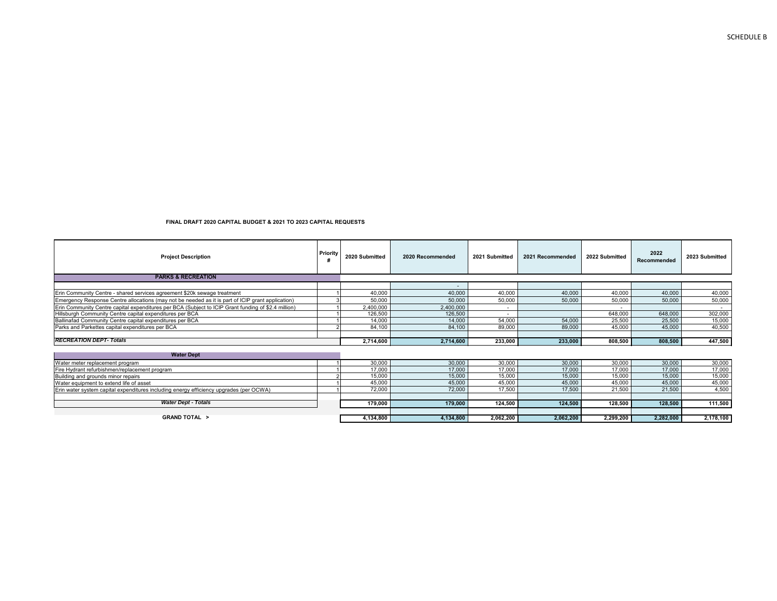| <b>Project Description</b>                                                                          | Priority | 2020 Submitted | 2020 Recommended | 2021 Submitted           | 2021 Recommended | 2022 Submitted | 2022<br>Recommended | 2023 Submitted |
|-----------------------------------------------------------------------------------------------------|----------|----------------|------------------|--------------------------|------------------|----------------|---------------------|----------------|
| <b>PARKS &amp; RECREATION</b>                                                                       |          |                |                  |                          |                  |                |                     |                |
|                                                                                                     |          |                |                  |                          |                  |                |                     |                |
| Erin Community Centre - shared services agreement \$20k sewage treatment                            |          | 40,000         | 40,000           | 40,000                   | 40,000           | 40,000         | 40,000              | 40,000         |
| Emergency Response Centre allocations (may not be needed as it is part of ICIP grant application)   |          | 50,000         | 50,000           | 50,000                   | 50,000           | 50,000         | 50,000              | 50,000         |
| Erin Community Centre capital expenditures per BCA (Subject to ICIP Grant funding of \$2.4 million) |          | 2.400.000      | 2,400,000        | $\sim$                   |                  |                |                     | $\sim$         |
| Hillsburgh Community Centre capital expenditures per BCA                                            |          | 126,500        | 126,500          | $\overline{\phantom{a}}$ |                  | 648,000        | 648,000             | 302,000        |
| Ballinafad Community Centre capital expenditures per BCA                                            |          | 14,000         | 14,000           | 54,000                   | 54,000           | 25,500         | 25,500              | 15,000         |
| Parks and Parkettes capital expenditures per BCA                                                    |          | 84,100         | 84,100           | 89,000                   | 89,000           | 45,000         | 45,000              | 40,500         |
|                                                                                                     |          |                |                  |                          |                  |                |                     |                |
| <b>RECREATION DEPT-Totals</b>                                                                       |          | 2,714,600      | 2,714,600        | 233,000                  | 233,000          | 808,500        | 808,500             | 447,500        |
| <b>Water Dept</b>                                                                                   |          |                |                  |                          |                  |                |                     |                |
| Water meter replacement program                                                                     |          | 30,000         | 30,000           | 30,000                   | 30,000           | 30,000         | 30,000              | 30,000         |
| Fire Hydrant refurbishmen/replacement program                                                       |          | 17,000         | 17,000           | 17,000                   | 17,000           | 17,000         | 17,000              | 17,000         |
| Building and grounds minor repairs                                                                  |          | 15,000         | 15,000           | 15.000                   | 15.000           | 15.000         | 15.000              | 15,000         |
| Water equipment to extend life of asset                                                             |          | 45,000         | 45,000           | 45,000                   | 45,000           | 45,000         | 45,000              | 45,000         |
| Erin water system capital expenditures including energy efficiency upgrades (per OCWA)              |          | 72,000         | 72,000           | 17,500                   | 17,500           | 21,500         | 21,500              | 4,500          |
|                                                                                                     |          |                |                  |                          |                  |                |                     |                |
| <b>Water Dept - Totals</b>                                                                          |          | 179,000        | 179,000          | 124,500                  | 124,500          | 128,500        | 128,500             | 111,500        |
|                                                                                                     |          |                |                  |                          |                  |                |                     |                |
| <b>GRAND TOTAL &gt;</b>                                                                             |          | 4,134,800      | 4,134,800        | 2,062,200                | 2,062,200        | 2,299,200      | 2,282,000           | 2,178,100      |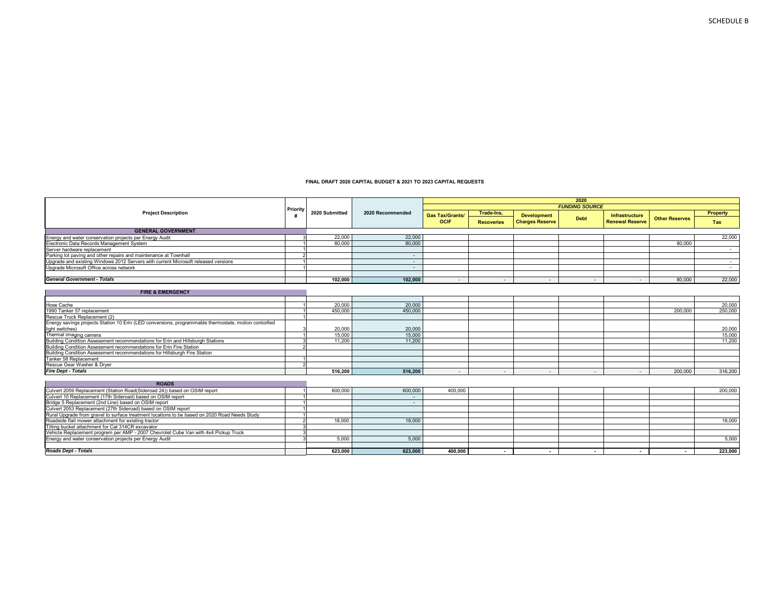|                                                                                                       |          |                |                  |                        |                          |                          | 2020<br><b>FUNDING SOURCE</b> |                          |                       |                 |
|-------------------------------------------------------------------------------------------------------|----------|----------------|------------------|------------------------|--------------------------|--------------------------|-------------------------------|--------------------------|-----------------------|-----------------|
| <b>Project Description</b>                                                                            | Priority | 2020 Submitted | 2020 Recommended | <b>Gas Tax/Grants/</b> | Trade-Ins,               | <b>Development</b>       |                               | Infrastructure           |                       | <b>Property</b> |
|                                                                                                       |          |                |                  | <b>OCIF</b>            | <b>Recoveries</b>        | <b>Charges Reserve</b>   | <b>Debt</b>                   | <b>Renewal Reserve</b>   | <b>Other Reserves</b> | Tax             |
| <b>GENERAL GOVERNMENT</b>                                                                             |          |                |                  |                        |                          |                          |                               |                          |                       |                 |
| Energy and water conservation projects per Energy Audit                                               |          | 22,000         | 22,000           |                        |                          |                          |                               |                          |                       | 22,000          |
| Electronic Data Records Management System                                                             |          | 80,000         | 80,000           |                        |                          |                          |                               |                          | 80,000                |                 |
| Server hardware replacement                                                                           |          |                |                  |                        |                          |                          |                               |                          |                       | $\sim$          |
| Parking lot paving and other repairs and maintenance at Townhall                                      |          |                | $\sim$           |                        |                          |                          |                               |                          |                       |                 |
| Upgrade and existing Windows 2012 Servers with current Microsoft released versions                    |          |                | $\sim$           |                        |                          |                          |                               |                          |                       | $\sim$          |
| Upgrade Microsoft Office across network                                                               |          |                | $\sim$           |                        |                          |                          |                               |                          |                       | $\sim$          |
| <b>General Government - Totals</b>                                                                    |          | 102.000        | 102.000          |                        | $\sim$                   | $\overline{\phantom{a}}$ | $\overline{\phantom{a}}$      |                          | 80,000                | 22,000          |
| <b>FIRE &amp; EMERGENCY</b>                                                                           |          |                |                  |                        |                          |                          |                               |                          |                       |                 |
|                                                                                                       |          |                |                  |                        |                          |                          |                               |                          |                       |                 |
| Hose Cache                                                                                            |          | 20,000         | 20,000           |                        |                          |                          |                               |                          |                       | 20,000          |
| 1990 Tanker 57 replacement                                                                            |          | 450.000        | 450.000          |                        |                          |                          |                               |                          | 200,000               | 250,000         |
| Rescue Truck Replacement (2)                                                                          |          |                |                  |                        |                          |                          |                               |                          |                       |                 |
| Energy savings projects Station 10 Erin (LED conversions, programmable thermostats, motion contorlled |          |                |                  |                        |                          |                          |                               |                          |                       |                 |
| light switches)                                                                                       |          | 20,000         | 20,000           |                        |                          |                          |                               |                          |                       | 20,000          |
| Thermal imaging camera                                                                                |          | 15,000         | 15,000           |                        |                          |                          |                               |                          |                       | 15,000          |
| Building Condition Assessment recommendations for Erin and Hillsburgh Stations                        |          | 11.200         | 11.200           |                        |                          |                          |                               |                          |                       | 11.200          |
| Building Condition Assessment recommendations for Erin Fire Station                                   |          |                |                  |                        |                          |                          |                               |                          |                       |                 |
| Building Condition Assessment recommendations for Hillsburgh Fire Station                             |          |                |                  |                        |                          |                          |                               |                          |                       |                 |
| Tanker 58 Replacement                                                                                 |          |                |                  |                        |                          |                          |                               |                          |                       |                 |
| Rescue Gear Washer & Dryer                                                                            | $\sim$   |                |                  |                        |                          |                          |                               |                          |                       |                 |
| <b>Fire Dept - Totals</b>                                                                             |          | 516,200        | 516,200          | $\sim$                 | $\sim$                   | $\overline{\phantom{a}}$ | $\sim$                        | $\sim$                   | 200,000               | 316,200         |
| <b>ROADS</b>                                                                                          |          |                |                  |                        |                          |                          |                               |                          |                       |                 |
| Culvert 2059 Replacement (Station Road(Sideroad 24)) based on OSIM report                             |          | 600.000        | 600,000          | 400,000                |                          |                          |                               |                          |                       | 200,000         |
| Culvert 10 Replacement (17th Sideroad) based on OSIM report                                           |          |                |                  |                        |                          |                          |                               |                          |                       |                 |
| Bridge 5 Replacement (2nd Line) based on OSIM report                                                  |          |                | $\sim$           |                        |                          |                          |                               |                          |                       |                 |
| Culvert 2053 Replacement (27th Sideroad) based on OSIM report                                         |          |                |                  |                        |                          |                          |                               |                          |                       |                 |
| Rural Upgrade from gravel to surface treatment locations to be based on 2020 Road Needs Study         |          |                |                  |                        |                          |                          |                               |                          |                       |                 |
| Roadside flail mower attachment for existing tractor                                                  |          | 18,000         | 18,000           |                        |                          |                          |                               |                          |                       | 18,000          |
| Tilting bucket attachment for Cat 314CR excavator                                                     |          |                |                  |                        |                          |                          |                               |                          |                       |                 |
| Vehicle Replacement progrem per AMP - 2007 Chevrolet Cube Van with 4x4 Pickup Truck                   |          |                |                  |                        |                          |                          |                               |                          |                       |                 |
| Energy and water conservation projects per Energy Audit                                               |          | 5.000          | 5.000            |                        |                          |                          |                               |                          |                       | 5,000           |
|                                                                                                       |          |                |                  |                        |                          |                          |                               |                          |                       |                 |
| <b>Roads Dept - Totals</b>                                                                            |          | 623,000        | 623,000          | 400,000                | $\overline{\phantom{a}}$ | $\overline{\phantom{a}}$ |                               | $\overline{\phantom{a}}$ |                       | 223,000         |

 $\mathcal{L}(\mathcal{A})$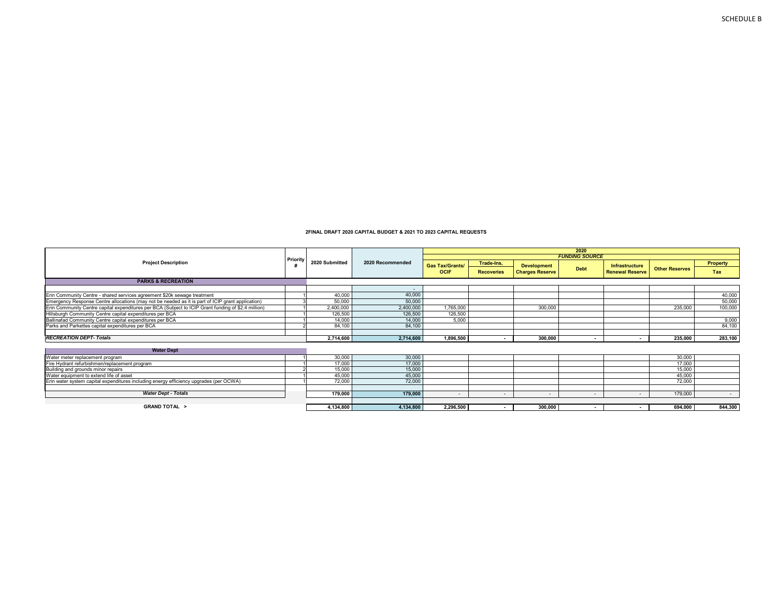|                                                                                                     |          |                |                  | 2020                     |                          |                          |                       |                        |                       |                 |
|-----------------------------------------------------------------------------------------------------|----------|----------------|------------------|--------------------------|--------------------------|--------------------------|-----------------------|------------------------|-----------------------|-----------------|
|                                                                                                     | Priority |                |                  |                          |                          |                          | <b>FUNDING SOURCE</b> |                        |                       |                 |
| <b>Project Description</b>                                                                          |          | 2020 Submitted | 2020 Recommended | <b>Gas Tax/Grants/</b>   | Trade-Ins,               | <b>Development</b>       |                       | <b>Infrastructure</b>  |                       | <b>Property</b> |
|                                                                                                     |          |                |                  | <b>OCIF</b>              | <b>Recoveries</b>        | <b>Charges Reserve</b>   | <b>Debt</b>           | <b>Renewal Reserve</b> | <b>Other Reserves</b> | Tax             |
| <b>PARKS &amp; RECREATION</b>                                                                       |          |                |                  |                          |                          |                          |                       |                        |                       |                 |
|                                                                                                     |          |                |                  |                          |                          |                          |                       |                        |                       |                 |
| Erin Community Centre - shared services agreement \$20k sewage treatment                            |          | 40,000         | 40,000           |                          |                          |                          |                       |                        |                       | 40,000          |
| Emergency Response Centre allocations (may not be needed as it is part of ICIP grant application)   |          | 50,000         | 50,000           |                          |                          |                          |                       |                        |                       | 50,000          |
| Erin Community Centre capital expenditures per BCA (Subject to ICIP Grant funding of \$2.4 million) |          | 2.400.000      | 2,400,000        | 1,765,000                |                          | 300,000                  |                       |                        | 235,000               | 100,000         |
| Hillsburgh Community Centre capital expenditures per BCA                                            |          | 126,500        | 126,500          | 126,500                  |                          |                          |                       |                        |                       |                 |
| Ballinafad Community Centre capital expenditures per BCA                                            |          | 14.000         | 14.000           | 5.000                    |                          |                          |                       |                        |                       | 9,000           |
| Parks and Parkettes capital expenditures per BCA                                                    |          | 84,100         | 84,100           |                          |                          |                          |                       |                        |                       | 84,100          |
|                                                                                                     |          |                |                  |                          |                          |                          |                       |                        |                       |                 |
| <b>RECREATION DEPT-Totals</b>                                                                       |          | 2,714,600      | 2,714,600        | 1,896,500                | $\blacksquare$           | 300,000                  |                       |                        | 235,000               | 283,100         |
| <b>Water Dept</b>                                                                                   |          |                |                  |                          |                          |                          |                       |                        |                       |                 |
| Water meter replacement program                                                                     |          | 30,000         | 30,000           |                          |                          |                          |                       |                        | 30,000                |                 |
| Fire Hydrant refurbishmen/replacement program                                                       |          | 17,000         | 17,000           |                          |                          |                          |                       |                        | 17,000                |                 |
| Building and grounds minor repairs                                                                  |          | 15,000         | 15,000           |                          |                          |                          |                       |                        | 15,000                |                 |
| Water equipment to extend life of asset                                                             |          | 45,000         | 45,000           |                          |                          |                          |                       |                        | 45,000                |                 |
| Erin water system capital expenditures including energy efficiency upgrades (per OCWA)              |          | 72,000         | 72,000           |                          |                          |                          |                       |                        | 72,000                |                 |
|                                                                                                     |          |                |                  |                          |                          |                          |                       |                        |                       |                 |
| <b>Water Dept - Totals</b>                                                                          |          | 179,000        | 179,000          | $\overline{\phantom{0}}$ | $\overline{\phantom{a}}$ | $\overline{\phantom{a}}$ | $\sim$                | $\sim$                 | 179,000               | $\sim$          |
|                                                                                                     |          |                |                  |                          |                          |                          |                       |                        |                       |                 |
| <b>GRAND TOTAL &gt;</b>                                                                             |          | 4,134,800      | 4,134,800        | 2,296,500                |                          | 300,000                  |                       |                        | 694,000               | 844,300         |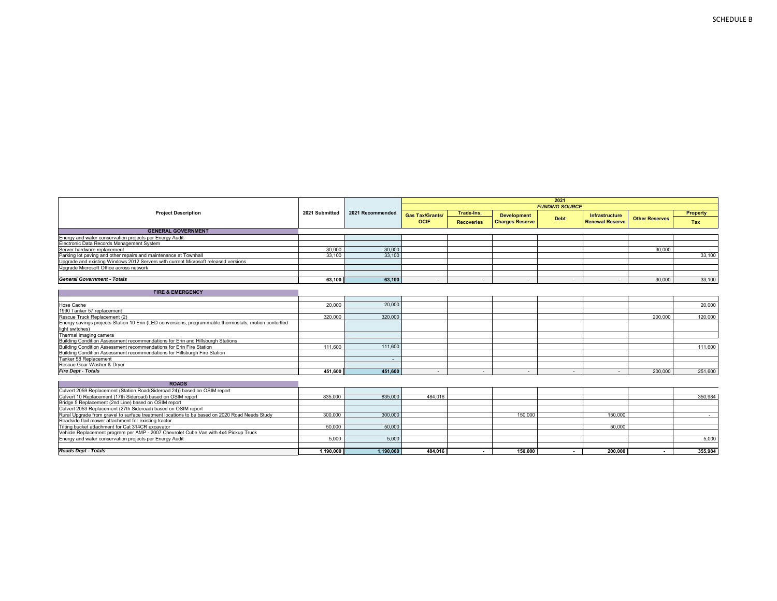|                                                                                                       |                |                  |                        |                          |                        | .                        |                        |                       |          |
|-------------------------------------------------------------------------------------------------------|----------------|------------------|------------------------|--------------------------|------------------------|--------------------------|------------------------|-----------------------|----------|
| <b>Project Description</b>                                                                            | 2021 Submitted | 2021 Recommended | <b>Gas Tax/Grants/</b> | Trade-Ins,               | <b>Development</b>     | <b>Debt</b>              | Infrastructure         | <b>Other Reserves</b> | Property |
|                                                                                                       |                |                  | <b>OCIF</b>            | <b>Recoveries</b>        | <b>Charges Reserve</b> |                          | <b>Renewal Reserve</b> |                       | Tax      |
| <b>GENERAL GOVERNMENT</b>                                                                             |                |                  |                        |                          |                        |                          |                        |                       |          |
| Energy and water conservation projects per Energy Audit                                               |                |                  |                        |                          |                        |                          |                        |                       |          |
| Electronic Data Records Management System                                                             |                |                  |                        |                          |                        |                          |                        |                       |          |
| Server hardware replacement                                                                           | 30,000         | 30,000           |                        |                          |                        |                          |                        | 30,000                |          |
| Parking lot paying and other repairs and maintenance at Townhall                                      | 33,100         | 33,100           |                        |                          |                        |                          |                        |                       | 33.100   |
| Upgrade and existing Windows 2012 Servers with current Microsoft released versions                    |                |                  |                        |                          |                        |                          |                        |                       |          |
| Upgrade Microsoft Office across network                                                               |                |                  |                        |                          |                        |                          |                        |                       |          |
| <b>General Government - Totals</b>                                                                    | 63,100         | 63,100           | $\sim$                 | $\overline{\phantom{a}}$ |                        | $\overline{\phantom{a}}$ | $\sim$                 | 30,000                | 33,100   |
|                                                                                                       |                |                  |                        |                          |                        |                          |                        |                       |          |
| <b>FIRE &amp; EMERGENCY</b>                                                                           |                |                  |                        |                          |                        |                          |                        |                       |          |
| Hose Cache                                                                                            | 20,000         | 20,000           |                        |                          |                        |                          |                        |                       | 20,000   |
| 1990 Tanker 57 replacement                                                                            |                |                  |                        |                          |                        |                          |                        |                       |          |
| Rescue Truck Replacement (2)                                                                          | 320,000        | 320,000          |                        |                          |                        |                          |                        | 200,000               | 120,000  |
| Energy savings projects Station 10 Erin (LED conversions, programmable thermostats, motion contorlled |                |                  |                        |                          |                        |                          |                        |                       |          |
| light switches)                                                                                       |                |                  |                        |                          |                        |                          |                        |                       |          |
| Thermal imaging camera                                                                                |                |                  |                        |                          |                        |                          |                        |                       |          |
| Building Condition Assessment recommendations for Erin and Hillsburgh Stations                        |                |                  |                        |                          |                        |                          |                        |                       |          |
| Building Condition Assessment recommendations for Erin Fire Station                                   | 111.600        | 111,600          |                        |                          |                        |                          |                        |                       | 111.600  |
| Building Condition Assessment recommendations for Hillsburgh Fire Station                             |                |                  |                        |                          |                        |                          |                        |                       |          |
| Tanker 58 Replacement                                                                                 |                |                  |                        |                          |                        |                          |                        |                       |          |
| Rescue Gear Washer & Dryer                                                                            |                |                  |                        |                          |                        |                          |                        |                       |          |
| <b>Fire Dept - Totals</b>                                                                             | 451.600        | 451.600          | $\sim$                 | $\sim$                   | $\sim$                 | $\sim$                   | $\sim$                 | 200,000               | 251,600  |
| <b>ROADS</b>                                                                                          |                |                  |                        |                          |                        |                          |                        |                       |          |
| Culvert 2059 Replacement (Station Road(Sideroad 24)) based on OSIM report                             |                |                  |                        |                          |                        |                          |                        |                       |          |
| Culvert 10 Replacement (17th Sideroad) based on OSIM report                                           | 835,000        | 835,000          | 484.016                |                          |                        |                          |                        |                       | 350.984  |
| Bridge 5 Replacement (2nd Line) based on OSIM report                                                  |                |                  |                        |                          |                        |                          |                        |                       |          |
| Culvert 2053 Replacement (27th Sideroad) based on OSIM report                                         |                |                  |                        |                          |                        |                          |                        |                       |          |
| Rural Upgrade from gravel to surface treatment locations to be based on 2020 Road Needs Study         | 300,000        | 300,000          |                        |                          | 150,000                |                          | 150,000                |                       |          |
| Roadside flail mower attachment for existing tractor                                                  |                |                  |                        |                          |                        |                          |                        |                       |          |
| Tilting bucket attachment for Cat 314CR excavator                                                     | 50,000         | 50,000           |                        |                          |                        |                          | 50,000                 |                       |          |
| Vehicle Replacement progrem per AMP - 2007 Chevrolet Cube Van with 4x4 Pickup Truck                   |                |                  |                        |                          |                        |                          |                        |                       |          |
| Energy and water conservation projects per Energy Audit                                               | 5.000          | 5.000            |                        |                          |                        |                          |                        |                       | 5.000    |
|                                                                                                       |                |                  |                        |                          |                        |                          |                        |                       |          |
| <b>Roads Dept - Totals</b>                                                                            | 1,190,000      | 1,190,000        | 484.016                | $\overline{\phantom{a}}$ | 150,000                | $\sim$                   | 200.000                | $\sim$                | 355,984  |

**2021** *FUNDING SOURCE*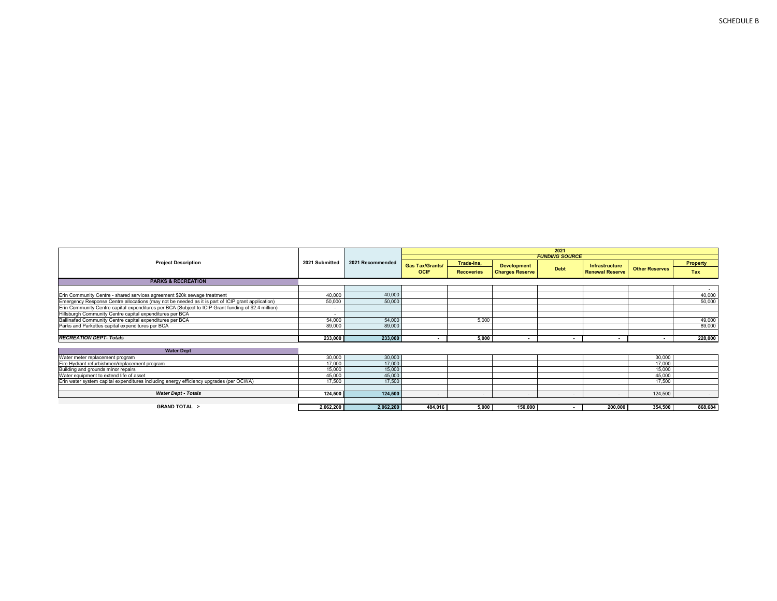|                                                                                                     |                          |                  | -2021                  |                   |                          |                       |                          |                          |          |  |  |  |
|-----------------------------------------------------------------------------------------------------|--------------------------|------------------|------------------------|-------------------|--------------------------|-----------------------|--------------------------|--------------------------|----------|--|--|--|
|                                                                                                     |                          |                  |                        |                   |                          | <b>FUNDING SOURCE</b> |                          |                          |          |  |  |  |
| <b>Project Description</b>                                                                          | 2021 Submitted           | 2021 Recommended | <b>Gas Tax/Grants/</b> | Trade-Ins,        | <b>Development</b>       |                       | <b>Infrastructure</b>    |                          | Property |  |  |  |
|                                                                                                     |                          |                  | <b>OCIF</b>            | <b>Recoveries</b> | <b>Charges Reserve</b>   | <b>Debt</b>           | <b>Renewal Reserve</b>   | <b>Other Reserves</b>    | Tax      |  |  |  |
| <b>PARKS &amp; RECREATION</b>                                                                       |                          |                  |                        |                   |                          |                       |                          |                          |          |  |  |  |
|                                                                                                     |                          |                  |                        |                   |                          |                       |                          |                          | $\sim$   |  |  |  |
| Erin Community Centre - shared services agreement \$20k sewage treatment                            | 40,000                   | 40,000           |                        |                   |                          |                       |                          |                          | 40,000   |  |  |  |
| Emergency Response Centre allocations (may not be needed as it is part of ICIP grant application)   | 50,000                   | 50,000           |                        |                   |                          |                       |                          |                          | 50,000   |  |  |  |
| Erin Community Centre capital expenditures per BCA (Subject to ICIP Grant funding of \$2.4 million) | $\sim$                   |                  |                        |                   |                          |                       |                          |                          |          |  |  |  |
| Hillsburgh Community Centre capital expenditures per BCA                                            | $\overline{\phantom{a}}$ |                  |                        |                   |                          |                       |                          |                          |          |  |  |  |
| Ballinafad Community Centre capital expenditures per BCA                                            | 54,000                   | 54,000           |                        | 5,000             |                          |                       |                          |                          | 49,000   |  |  |  |
| Parks and Parkettes capital expenditures per BCA                                                    | 89,000                   | 89,000           |                        |                   |                          |                       |                          |                          | 89,000   |  |  |  |
|                                                                                                     |                          |                  |                        |                   |                          |                       |                          |                          |          |  |  |  |
| <b>RECREATION DEPT-Totals</b>                                                                       | 233,000                  | 233,000          |                        | 5,000             | $\overline{\phantom{a}}$ |                       | $\overline{\phantom{a}}$ | $\overline{\phantom{a}}$ | 228,000  |  |  |  |
| <b>Water Dept</b>                                                                                   |                          |                  |                        |                   |                          |                       |                          |                          |          |  |  |  |
| Water meter replacement program                                                                     | 30,000                   | 30,000           |                        |                   |                          |                       |                          | 30,000                   |          |  |  |  |
| Fire Hydrant refurbishmen/replacement program                                                       | 17,000                   | 17,000           |                        |                   |                          |                       |                          | 17,000                   |          |  |  |  |
| Building and grounds minor repairs                                                                  | 15,000                   | 15,000           |                        |                   |                          |                       |                          | 15,000                   |          |  |  |  |
| Water equipment to extend life of asset                                                             | 45,000                   | 45,000           |                        |                   |                          |                       |                          | 45.000                   |          |  |  |  |
| Erin water system capital expenditures including energy efficiency upgrades (per OCWA)              | 17,500                   | 17,500           |                        |                   |                          |                       |                          | 17,500                   |          |  |  |  |
|                                                                                                     |                          |                  |                        |                   |                          |                       |                          |                          |          |  |  |  |
| <b>Water Dept - Totals</b>                                                                          | 124,500                  | 124,500          | $\sim$                 | $\sim$            | $\sim$                   | $\sim$                | ٠                        | 124,500                  | $\sim$   |  |  |  |
|                                                                                                     |                          |                  |                        |                   |                          |                       |                          |                          |          |  |  |  |
| <b>GRAND TOTAL &gt;</b>                                                                             | 2,062,200                | 2,062,200        | 484,016                | 5,000             | 150,000                  |                       | 200.000                  | 354,500                  | 868,684  |  |  |  |

**F**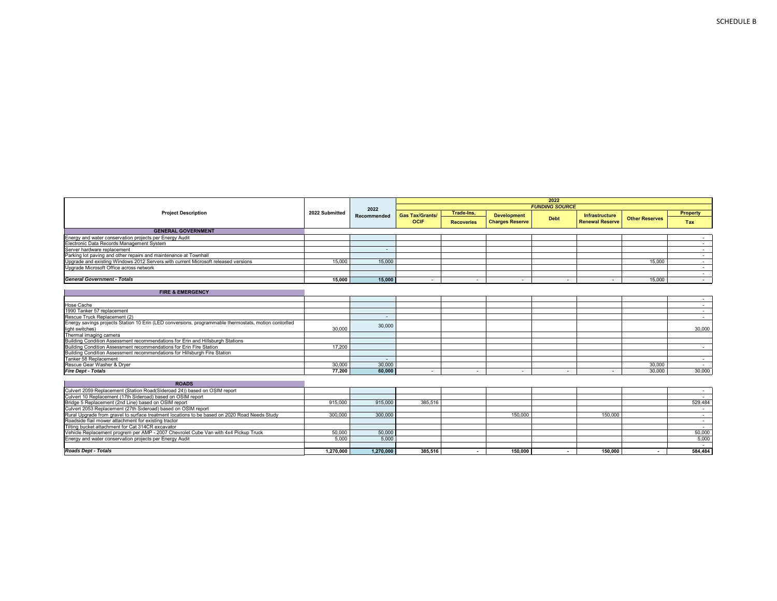|                                                                                                       | 2022 Submitted | 2022        |                        |                          |                        |                          |                        |                          |          |
|-------------------------------------------------------------------------------------------------------|----------------|-------------|------------------------|--------------------------|------------------------|--------------------------|------------------------|--------------------------|----------|
| <b>Project Description</b>                                                                            |                | Recommended | <b>Gas Tax/Grants/</b> | Trade-Ins,               | <b>Development</b>     |                          | <b>Infrastructure</b>  |                          | Property |
|                                                                                                       |                |             | <b>OCIF</b>            | <b>Recoveries</b>        | <b>Charges Reserve</b> | <b>Debt</b>              | <b>Renewal Reserve</b> | <b>Other Reserves</b>    | Tax      |
| <b>GENERAL GOVERNMENT</b>                                                                             |                |             |                        |                          |                        |                          |                        |                          |          |
| Energy and water conservation projects per Energy Audit                                               |                |             |                        |                          |                        |                          |                        |                          |          |
| Electronic Data Records Management System                                                             |                |             |                        |                          |                        |                          |                        |                          | $\sim$   |
| Server hardware replacement                                                                           |                | $\sim$      |                        |                          |                        |                          |                        |                          | $\sim$   |
| Parking lot paving and other repairs and maintenance at Townhall                                      |                |             |                        |                          |                        |                          |                        |                          | $\sim$   |
| Upgrade and existing Windows 2012 Servers with current Microsoft released versions                    | 15,000         | 15,000      |                        |                          |                        |                          |                        | 15,000                   | $\sim$   |
| Upgrade Microsoft Office across network                                                               |                |             |                        |                          |                        |                          |                        |                          | $\sim$   |
|                                                                                                       |                |             |                        |                          |                        |                          |                        |                          | $\sim$   |
| <b>General Government - Totals</b>                                                                    | 15.000         | 15.000      | $\sim$                 | ٠                        |                        |                          |                        | 15,000                   | $\sim$   |
|                                                                                                       |                |             |                        |                          |                        |                          |                        |                          |          |
| <b>FIRE &amp; EMERGENCY</b>                                                                           |                |             |                        |                          |                        |                          |                        |                          |          |
|                                                                                                       |                |             |                        |                          |                        |                          |                        |                          | $\sim$   |
| Hose Cache                                                                                            |                |             |                        |                          |                        |                          |                        |                          | $\sim$   |
| 1990 Tanker 57 replacement                                                                            |                |             |                        |                          |                        |                          |                        |                          | $\sim$   |
| Rescue Truck Replacement (2)                                                                          |                | $\sim$      |                        |                          |                        |                          |                        |                          | $\sim$   |
| Energy savings projects Station 10 Erin (LED conversions, programmable thermostats, motion contorlled |                | 30,000      |                        |                          |                        |                          |                        |                          |          |
| light switches)                                                                                       | 30,000         |             |                        |                          |                        |                          |                        |                          | 30,000   |
| Thermal imaging camera                                                                                |                |             |                        |                          |                        |                          |                        |                          |          |
| Building Condition Assessment recommendations for Erin and Hillsburgh Stations                        |                |             |                        |                          |                        |                          |                        |                          |          |
| Building Condition Assessment recommendations for Erin Fire Station                                   | 17,200         |             |                        |                          |                        |                          |                        |                          | $\sim$   |
| Building Condition Assessment recommendations for Hillsburgh Fire Station                             |                |             |                        |                          |                        |                          |                        |                          |          |
| Tanker 58 Replacement                                                                                 |                | $\sim$      |                        |                          |                        |                          |                        |                          | $\sim$   |
| Rescue Gear Washer & Dryer                                                                            | 30,000         | 30,000      |                        |                          |                        |                          |                        | 30,000                   | $\sim$   |
| <b>Fire Dept - Totals</b>                                                                             | 77.200         | 60.000      | $\sim$                 | $\sim$                   |                        | $\overline{\phantom{0}}$ |                        | 30,000                   | 30,000   |
|                                                                                                       |                |             |                        |                          |                        |                          |                        |                          |          |
| <b>ROADS</b>                                                                                          |                |             |                        |                          |                        |                          |                        |                          |          |
| Culvert 2059 Replacement (Station Road(Sideroad 24)) based on OSIM report                             |                |             |                        |                          |                        |                          |                        |                          | $\sim$   |
| Culvert 10 Replacement (17th Sideroad) based on OSIM report                                           |                |             |                        |                          |                        |                          |                        |                          | $\sim$   |
| Bridge 5 Replacement (2nd Line) based on OSIM report                                                  | 915,000        | 915,000     | 385,516                |                          |                        |                          |                        |                          | 529,484  |
| Culvert 2053 Replacement (27th Sideroad) based on OSIM report                                         |                |             |                        |                          |                        |                          |                        |                          | $\sim$   |
| Rural Upgrade from gravel to surface treatment locations to be based on 2020 Road Needs Study         | 300,000        | 300,000     |                        |                          | 150,000                |                          | 150,000                |                          | $\sim$   |
| Roadside flail mower attachment for existing tractor                                                  |                |             |                        |                          |                        |                          |                        |                          | $\sim$   |
| Tilting bucket attachment for Cat 314CR excavator                                                     |                |             |                        |                          |                        |                          |                        |                          | $\sim$   |
| Vehicle Replacement progrem per AMP - 2007 Chevrolet Cube Van with 4x4 Pickup Truck                   | 50,000         | 50,000      |                        |                          |                        |                          |                        |                          | 50,000   |
| Energy and water conservation projects per Energy Audit                                               | 5.000          | 5.000       |                        |                          |                        |                          |                        |                          | 5.000    |
|                                                                                                       |                |             |                        |                          |                        |                          |                        |                          | $\sim$   |
| <b>Roads Dept - Totals</b>                                                                            | 1,270,000      | 1,270,000   | 385.516                | $\overline{\phantom{a}}$ | 150,000                | $\sim$                   | 150,000                | $\overline{\phantom{a}}$ | 584,484  |

**2022** *FUNDING SOURCE*

**2022 Submitted**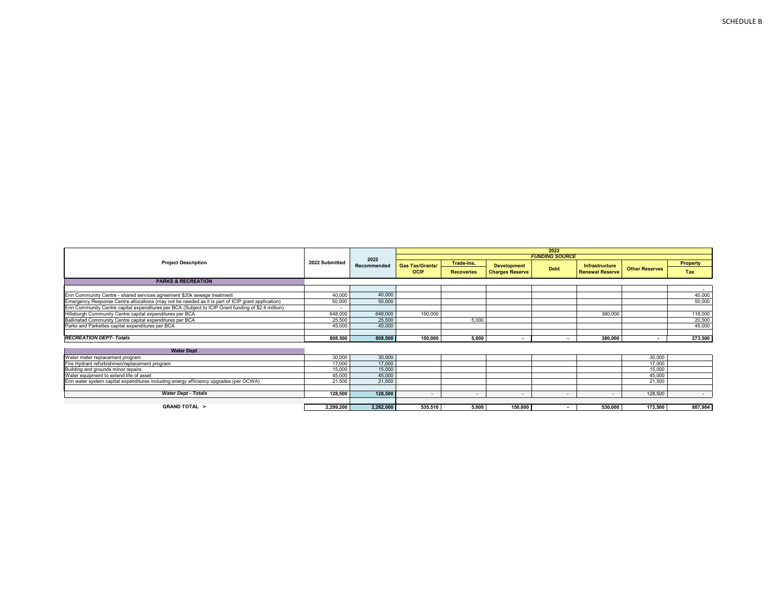|                                                                                                     |                          |             | 2022                     |                   |                          |                          |                          |                       |          |  |  |  |  |
|-----------------------------------------------------------------------------------------------------|--------------------------|-------------|--------------------------|-------------------|--------------------------|--------------------------|--------------------------|-----------------------|----------|--|--|--|--|
|                                                                                                     |                          | 2022        |                          |                   |                          | <b>FUNDING SOURCE</b>    |                          |                       |          |  |  |  |  |
| <b>Project Description</b>                                                                          | 2022 Submitted           | Recommended | <b>Gas Tax/Grants/</b>   | Trade-Ins,        | <b>Development</b>       |                          | Infrastructure           |                       | Property |  |  |  |  |
|                                                                                                     |                          |             | <b>OCIF</b>              | <b>Recoveries</b> | <b>Charges Reserve</b>   | <b>Debt</b>              | <b>Renewal Reserve</b>   | <b>Other Reserves</b> | Tax      |  |  |  |  |
| <b>PARKS &amp; RECREATION</b>                                                                       |                          |             |                          |                   |                          |                          |                          |                       |          |  |  |  |  |
|                                                                                                     |                          |             |                          |                   |                          |                          |                          |                       | $\sim$   |  |  |  |  |
| Erin Community Centre - shared services agreement \$20k sewage treatment                            | 40,000                   | 40,000      |                          |                   |                          |                          |                          |                       | 40,000   |  |  |  |  |
| Emergency Response Centre allocations (may not be needed as it is part of ICIP grant application)   | 50,000                   | 50,000      |                          |                   |                          |                          |                          |                       | 50,000   |  |  |  |  |
| Erin Community Centre capital expenditures per BCA (Subject to ICIP Grant funding of \$2.4 million) | $\overline{\phantom{a}}$ |             |                          |                   |                          |                          |                          |                       |          |  |  |  |  |
| Hillsburgh Community Centre capital expenditures per BCA                                            | 648,000                  | 648,000     | 150,000                  |                   |                          |                          | 380,000                  |                       | 118,000  |  |  |  |  |
| Ballinafad Community Centre capital expenditures per BCA                                            | 25,500                   | 25,500      |                          | 5.000             |                          |                          |                          |                       | 20,500   |  |  |  |  |
| Parks and Parkettes capital expenditures per BCA                                                    | 45,000                   | 45,000      |                          |                   |                          |                          |                          |                       | 45,000   |  |  |  |  |
|                                                                                                     |                          |             |                          |                   |                          |                          |                          |                       |          |  |  |  |  |
| <b>RECREATION DEPT-Totals</b>                                                                       | 808,500                  | 808,500     | 150,000                  | 5,000             |                          |                          | 380,000                  |                       | 273,500  |  |  |  |  |
|                                                                                                     |                          |             |                          |                   |                          |                          |                          |                       |          |  |  |  |  |
| <b>Water Dept</b>                                                                                   |                          |             |                          |                   |                          |                          |                          |                       |          |  |  |  |  |
| Water meter replacement program                                                                     | 30,000                   | 30,000      |                          |                   |                          |                          |                          | 30,000                |          |  |  |  |  |
| Fire Hydrant refurbishmen/replacement program                                                       | 17,000                   | 17,000      |                          |                   |                          |                          |                          | 17,000                |          |  |  |  |  |
| Building and grounds minor repairs                                                                  | 15,000                   | 15,000      |                          |                   |                          |                          |                          | 15,000                |          |  |  |  |  |
| Water equipment to extend life of asset                                                             | 45,000                   | 45,000      |                          |                   |                          |                          |                          | 45.000                |          |  |  |  |  |
| Erin water system capital expenditures including energy efficiency upgrades (per OCWA)              | 21,500                   | 21,500      |                          |                   |                          |                          |                          | 21,500                |          |  |  |  |  |
|                                                                                                     |                          |             |                          |                   |                          |                          |                          |                       |          |  |  |  |  |
| <b>Water Dept - Totals</b>                                                                          | 128,500                  | 128,500     | $\overline{\phantom{0}}$ | $\sim$            | $\overline{\phantom{0}}$ | $\overline{\phantom{a}}$ | $\overline{\phantom{a}}$ | 128,500               | $\sim$   |  |  |  |  |
|                                                                                                     |                          |             |                          |                   |                          |                          |                          |                       |          |  |  |  |  |
| <b>GRAND TOTAL &gt;</b>                                                                             | 2,299,200                | 2,282,000   | 535,516                  | 5,000             | 150,000                  | $\overline{\phantom{a}}$ | 530,000                  | 173,500               | 887,984  |  |  |  |  |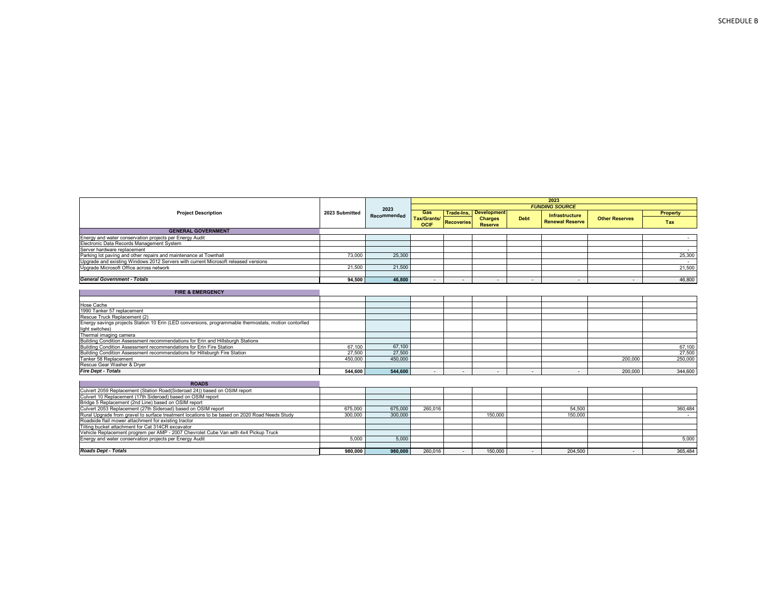| <b>Project Description</b>                                                                            | 2023 Submitted | Recommended | Gas                 |                   | Trade-Ins.   Development         |             | <b>Infrastructure</b>    |                       | <b>Property</b> |
|-------------------------------------------------------------------------------------------------------|----------------|-------------|---------------------|-------------------|----------------------------------|-------------|--------------------------|-----------------------|-----------------|
|                                                                                                       |                |             | Tax/Grants/<br>OCIF | <b>Recoveries</b> | <b>Charges</b><br><b>Reserve</b> | <b>Debt</b> | <b>Renewal Reserve</b>   | <b>Other Reserves</b> | Tax             |
| <b>GENERAL GOVERNMENT</b>                                                                             |                |             |                     |                   |                                  |             |                          |                       |                 |
| Energy and water conservation projects per Energy Audit                                               |                |             |                     |                   |                                  |             |                          |                       | $\sim$          |
| Electronic Data Records Management System                                                             |                |             |                     |                   |                                  |             |                          |                       |                 |
| Server hardware replacement                                                                           |                |             |                     |                   |                                  |             |                          |                       | $\sim$          |
| Parking lot paving and other repairs and maintenance at Townhall                                      | 73,000         | 25,300      |                     |                   |                                  |             |                          |                       | 25,300          |
| Upgrade and existing Windows 2012 Servers with current Microsoft released versions                    |                |             |                     |                   |                                  |             |                          |                       | $\sim$          |
| Upgrade Microsoft Office across network                                                               | 21.500         | 21,500      |                     |                   |                                  |             |                          |                       | 21,500          |
|                                                                                                       |                |             |                     |                   |                                  |             |                          |                       |                 |
| <b>General Government - Totals</b>                                                                    | 94,500         | 46,800      |                     |                   | $\overline{\phantom{a}}$         |             | $\overline{\phantom{a}}$ |                       | 46,800          |
|                                                                                                       |                |             |                     |                   |                                  |             |                          |                       |                 |
| <b>FIRE &amp; EMERGENCY</b>                                                                           |                |             |                     |                   |                                  |             |                          |                       |                 |
|                                                                                                       |                |             |                     |                   |                                  |             |                          |                       |                 |
| Hose Cache                                                                                            |                |             |                     |                   |                                  |             |                          |                       |                 |
| 1990 Tanker 57 replacement                                                                            |                |             |                     |                   |                                  |             |                          |                       |                 |
| Rescue Truck Replacement (2)                                                                          |                |             |                     |                   |                                  |             |                          |                       |                 |
| Energy savings projects Station 10 Erin (LED conversions, programmable thermostats, motion contorlled |                |             |                     |                   |                                  |             |                          |                       |                 |
| light switches)                                                                                       |                |             |                     |                   |                                  |             |                          |                       |                 |
| Thermal imaging camera                                                                                |                |             |                     |                   |                                  |             |                          |                       |                 |
| Building Condition Assessment recommendations for Erin and Hillsburgh Stations                        |                |             |                     |                   |                                  |             |                          |                       |                 |
| Building Condition Assessment recommendations for Erin Fire Station                                   | 67.100         | 67.100      |                     |                   |                                  |             |                          |                       | 67,100          |
| Building Condition Assessment recommendations for Hillsburgh Fire Station                             | 27,500         | 27,500      |                     |                   |                                  |             |                          |                       | 27,500          |
| Tanker 58 Replacement                                                                                 | 450.000        | 450,000     |                     |                   |                                  |             |                          | 200,000               | 250,000         |
| Rescue Gear Washer & Drver                                                                            |                |             |                     |                   |                                  |             |                          |                       |                 |
| <b>Fire Dept - Totals</b>                                                                             | 544.600        | 544.600     |                     | ٠                 | $\overline{\phantom{a}}$         |             |                          | 200,000               | 344,600         |
|                                                                                                       |                |             |                     |                   |                                  |             |                          |                       |                 |
| <b>ROADS</b>                                                                                          |                |             |                     |                   |                                  |             |                          |                       |                 |
| Culvert 2059 Replacement (Station Road(Sideroad 24)) based on OSIM report                             |                |             |                     |                   |                                  |             |                          |                       |                 |
| Culvert 10 Replacement (17th Sideroad) based on OSIM report                                           |                |             |                     |                   |                                  |             |                          |                       |                 |
| Bridge 5 Replacement (2nd Line) based on OSIM report                                                  |                |             |                     |                   |                                  |             |                          |                       |                 |
| Culvert 2053 Replacement (27th Sideroad) based on OSIM report                                         | 675,000        | 675,000     | 260.016             |                   |                                  |             | 54,500                   |                       | 360.484         |
| Rural Upgrade from gravel to surface treatment locations to be based on 2020 Road Needs Study         | 300,000        | 300,000     |                     |                   | 150,000                          |             | 150,000                  |                       |                 |
| Roadside flail mower attachment for existing tractor                                                  |                |             |                     |                   |                                  |             |                          |                       |                 |
| Tilting bucket attachment for Cat 314CR excavator                                                     |                |             |                     |                   |                                  |             |                          |                       |                 |
| Vehicle Replacement progrem per AMP - 2007 Chevrolet Cube Van with 4x4 Pickup Truck                   |                |             |                     |                   |                                  |             |                          |                       |                 |
| Energy and water conservation projects per Energy Audit                                               | 5.000          | 5.000       |                     |                   |                                  |             |                          |                       | 5.000           |

**2023 Recommended** **2023** *FUNDING SOURCE*

**980,000 980,000** 260,016 - 150,000 - 204,500 - 365,484

*Roads Dept - Totals*